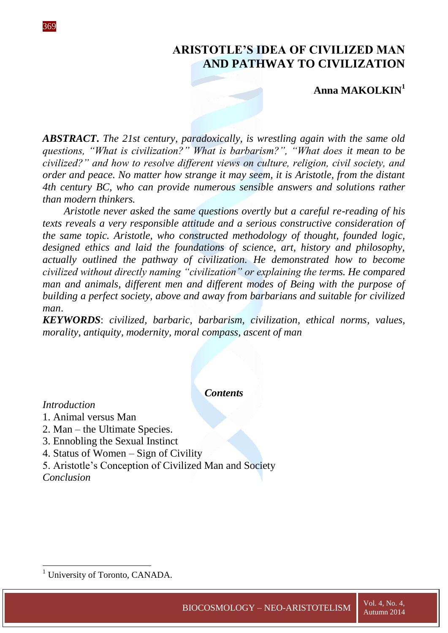# **ARISTOTLE'S IDEA OF CIVILIZED MAN AND PATHWAY TO CIVILIZATION**

## **Anna MAKOLKIN<sup>1</sup>**

*ABSTRACT***.** *The 21st century, paradoxically, is wrestling again with the same old questions, "What is civilization?" What is barbarism?", "What does it mean to be civilized?" and how to resolve different views on culture, religion, civil society, and order and peace. No matter how strange it may seem, it is Aristotle, from the distant 4th century BC, who can provide numerous sensible answers and solutions rather than modern thinkers.*

*Aristotle never asked the same questions overtly but a careful re-reading of his texts reveals a very responsible attitude and a serious constructive consideration of the same topic. Aristotle, who constructed methodology of thought, founded logic, designed ethics and laid the foundations of science, art, history and philosophy, actually outlined the pathway of civilization. He demonstrated how to become civilized without directly naming "civilization" or explaining the terms. He compared man and animals, different men and different modes of Being with the purpose of building a perfect society, above and away from barbarians and suitable for civilized man*.

*KEYWORDS*: *civilized, barbaric, barbarism, civilization, ethical norms, values, morality, antiquity, modernity, moral compass, ascent of man*

## *Contents*

## *Introduction*

- 1. Animal versus Man
- 2. Man the Ultimate Species.
- 3. Ennobling the Sexual Instinct
- 4. Status of Women Sign of Civility
- 5. Aristotle's Conception of Civilized Man and Society

*Conclusion*

1

 $<sup>1</sup>$  University of Toronto, CANADA.</sup>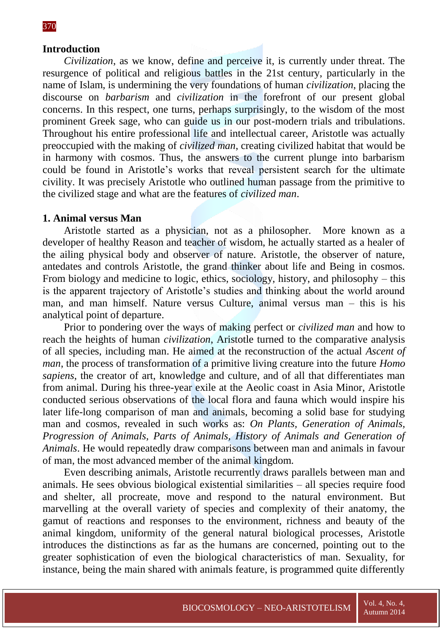### **Introduction**

*Civilization*, as we know, define and perceive it, is currently under threat. The resurgence of political and religious battles in the 21st century, particularly in the name of Islam, is undermining the very foundations of human *civilization*, placing the discourse on *barbarism* and *civilization* in the forefront of our present global concerns. In this respect, one turns, perhaps surprisingly, to the wisdom of the most prominent Greek sage, who can guide us in our post-modern trials and tribulations. Throughout his entire professional life and intellectual career, Aristotle was actually preoccupied with the making of *civilized man*, creating civilized habitat that would be in harmony with cosmos. Thus, the answers to the current plunge into barbarism could be found in Aristotle's works that reveal persistent search for the ultimate civility. It was precisely Aristotle who outlined human passage from the primitive to the civilized stage and what are the features of *civilized man*.

## **1. Animal versus Man**

Aristotle started as a physician, not as a philosopher. More known as a developer of healthy Reason and teacher of wisdom, he actually started as a healer of the ailing physical body and observer of nature. Aristotle, the observer of nature, antedates and controls Aristotle, the grand thinker about life and Being in cosmos. From biology and medicine to logic, ethics, sociology, history, and philosophy – this is the apparent trajectory of Aristotle's studies and thinking about the world around man, and man himself. Nature versus Culture, animal versus man – this is his analytical point of departure.

Prior to pondering over the ways of making perfect or *civilized man* and how to reach the heights of human *civilization*, Aristotle turned to the comparative analysis of all species, including man. He aimed at the reconstruction of the actual *Ascent of man*, the process of transformation of a primitive living creature into the future *Homo sapiens*, the creator of art, knowledge and culture, and of all that differentiates man from animal. During his three-year exile at the Aeolic coast in Asia Minor, Aristotle conducted serious observations of the local flora and fauna which would inspire his later life-long comparison of man and animals, becoming a solid base for studying man and cosmos, revealed in such works as: *On Plants, Generation of Animals, Progression of Animals, Parts of Animals, History of Animals and Generation of Animals*. He would repeatedly draw comparisons between man and animals in favour of man, the most advanced member of the animal kingdom.

Even describing animals, Aristotle recurrently draws parallels between man and animals. He sees obvious biological existential similarities – all species require food and shelter, all procreate, move and respond to the natural environment. But marvelling at the overall variety of species and complexity of their anatomy, the gamut of reactions and responses to the environment, richness and beauty of the animal kingdom, uniformity of the general natural biological processes, Aristotle introduces the distinctions as far as the humans are concerned, pointing out to the greater sophistication of even the biological characteristics of man. Sexuality, for instance, being the main shared with animals feature, is programmed quite differently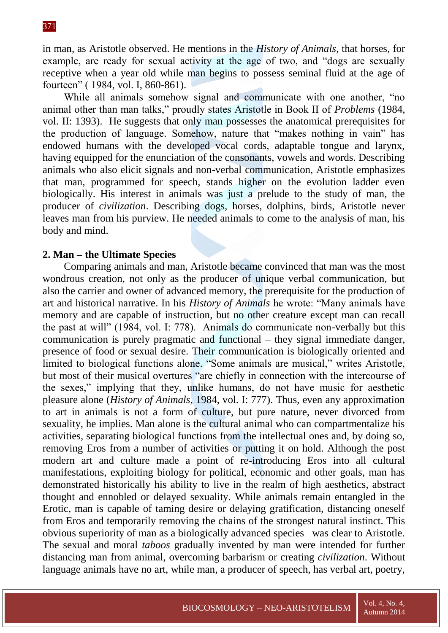in man, as Aristotle observed. He mentions in the *History of Animals*, that horses, for example, are ready for sexual activity at the age of two, and "dogs are sexually receptive when a year old while man begins to possess seminal fluid at the age of fourteen" ( 1984, vol. I, 860-861).

While all animals somehow signal and communicate with one another, "no animal other than man talks," proudly states Aristotle in Book II of *Problems* (1984, vol. II: 1393). He suggests that only man possesses the anatomical prerequisites for the production of language. Somehow, nature that "makes nothing in vain" has endowed humans with the developed vocal cords, adaptable tongue and larynx, having equipped for the enunciation of the consonants, vowels and words. Describing animals who also elicit signals and non-verbal communication, Aristotle emphasizes that man, programmed for speech, stands higher on the evolution ladder even biologically. His interest in animals was just a prelude to the study of man, the producer of *civilization*. Describing dogs, horses, dolphins, birds, Aristotle never leaves man from his purview. He needed animals to come to the analysis of man, his body and mind.

## **2. Man – the Ultimate Species**

Comparing animals and man, Aristotle became convinced that man was the most wondrous creation, not only as the producer of unique verbal communication, but also the carrier and owner of advanced memory, the prerequisite for the production of art and historical narrative. In his *History of Animals* he wrote: "Many animals have memory and are capable of instruction, but no other creature except man can recall the past at will" (1984, vol. I: 778). Animals do communicate non-verbally but this communication is purely pragmatic and functional – they signal immediate danger, presence of food or sexual desire. Their communication is biologically oriented and limited to biological functions alone. "Some animals are musical," writes Aristotle, but most of their musical overtures "are chiefly in connection with the intercourse of the sexes," implying that they, unlike humans, do not have music for aesthetic pleasure alone (*History of Animals*, 1984, vol. I: 777). Thus, even any approximation to art in animals is not a form of culture, but pure nature, never divorced from sexuality, he implies. Man alone is the cultural animal who can compartmentalize his activities, separating biological functions from the intellectual ones and, by doing so, removing Eros from a number of activities or putting it on hold. Although the post modern art and culture made a point of re-introducing Eros into all cultural manifestations, exploiting biology for political, economic and other goals, man has demonstrated historically his ability to live in the realm of high aesthetics, abstract thought and ennobled or delayed sexuality. While animals remain entangled in the Erotic, man is capable of taming desire or delaying gratification, distancing oneself from Eros and temporarily removing the chains of the strongest natural instinct. This obvious superiority of man as a biologically advanced species was clear to Aristotle. The sexual and moral *taboos* gradually invented by man were intended for further distancing man from animal, overcoming barbarism or creating *civilization*. Without language animals have no art, while man, a producer of speech, has verbal art, poetry,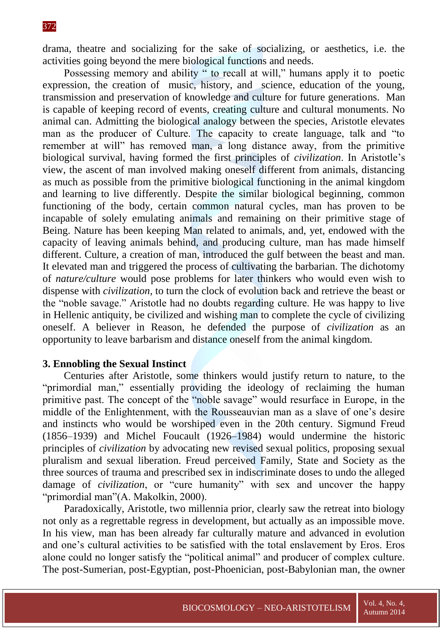drama, theatre and socializing for the sake of socializing, or aesthetics, i.e. the activities going beyond the mere biological functions and needs.

Possessing memory and ability " to recall at will," humans apply it to poetic expression, the creation of music, history, and science, education of the young, transmission and preservation of knowledge and culture for future generations. Man is capable of keeping record of events, creating culture and cultural monuments. No animal can. Admitting the biological analogy between the species, Aristotle elevates man as the producer of Culture. The capacity to create language, talk and "to remember at will" has removed man, a long distance away, from the primitive biological survival, having formed the first principles of *civilization*. In Aristotle's view, the ascent of man involved making oneself different from animals, distancing as much as possible from the primitive biological functioning in the animal kingdom and learning to live differently. Despite the similar biological beginning, common functioning of the body, certain common natural cycles, man has proven to be incapable of solely emulating animals and remaining on their primitive stage of Being. Nature has been keeping Man related to animals, and, yet, endowed with the capacity of leaving animals behind, and producing culture, man has made himself different. Culture, a creation of man, introduced the gulf between the beast and man. It elevated man and triggered the process of cultivating the barbarian. The dichotomy of *nature/culture* would pose problems for later thinkers who would even wish to dispense with *civilization*, to turn the clock of evolution back and retrieve the beast or the "noble savage." Aristotle had no doubts regarding culture. He was happy to live in Hellenic antiquity, be civilized and wishing man to complete the cycle of civilizing oneself. A believer in Reason, he defended the purpose of *civilization* as an opportunity to leave barbarism and distance oneself from the animal kingdom.

## **3. Ennobling the Sexual Instinct**

Centuries after Aristotle, some thinkers would justify return to nature, to the "primordial man," essentially providing the ideology of reclaiming the human primitive past. The concept of the "noble savage" would resurface in Europe, in the middle of the Enlightenment, with the Rousseauvian man as a slave of one's desire and instincts who would be worshiped even in the 20th century. Sigmund Freud (1856–1939) and Michel Foucault (1926–1984) would undermine the historic principles of *civilization* by advocating new revised sexual politics, proposing sexual pluralism and sexual liberation. Freud perceived Family, State and Society as the three sources of trauma and prescribed sex in indiscriminate doses to undo the alleged damage of *civilization*, or "cure humanity" with sex and uncover the happy "primordial man"(A. Makolkin, 2000).

Paradoxically, Aristotle, two millennia prior, clearly saw the retreat into biology not only as a regrettable regress in development, but actually as an impossible move. In his view, man has been already far culturally mature and advanced in evolution and one's cultural activities to be satisfied with the total enslavement by Eros. Eros alone could no longer satisfy the "political animal" and producer of complex culture. The post-Sumerian, post-Egyptian, post-Phoenician, post-Babylonian man, the owner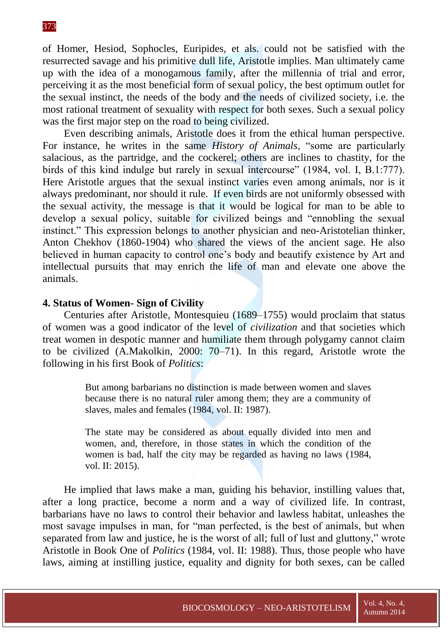of Homer, Hesiod, Sophocles, Euripides, et als. could not be satisfied with the resurrected savage and his primitive dull life, Aristotle implies. Man ultimately came up with the idea of a monogamous family, after the millennia of trial and error, perceiving it as the most beneficial form of sexual policy, the best optimum outlet for the sexual instinct, the needs of the body and the needs of civilized society, i.e. the most rational treatment of sexuality with respect for both sexes. Such a sexual policy was the first major step on the road to being civilized.

Even describing animals, Aristotle does it from the ethical human perspective. For instance, he writes in the same *History of Animals*, "some are particularly salacious, as the partridge, and the cockerel; others are inclines to chastity, for the birds of this kind indulge but rarely in sexual intercourse" (1984, vol. I, B.1:777). Here Aristotle argues that the sexual instinct varies even among animals, nor is it always predominant, nor should it rule. If even birds are not uniformly obsessed with the sexual activity, the message is that it would be logical for man to be able to develop a sexual policy, suitable for civilized beings and "ennobling the sexual instinct." This expression belongs to another physician and neo-Aristotelian thinker, Anton Chekhov (1860-1904) who shared the views of the ancient sage. He also believed in human capacity to control one's body and beautify existence by Art and intellectual pursuits that may enrich the life of man and elevate one above the animals.

## **4. Status of Women- Sign of Civility**

Centuries after Aristotle, Montesquieu (1689–1755) would proclaim that status of women was a good indicator of the level of *civilization* and that societies which treat women in despotic manner and humiliate them through polygamy cannot claim to be civilized (A.Makolkin, 2000: 70–71). In this regard, Aristotle wrote the following in his first Book of *Politics*:

> But among barbarians no distinction is made between women and slaves because there is no natural ruler among them; they are a community of slaves, males and females (1984, vol. II: 1987).

> The state may be considered as about equally divided into men and women, and, therefore, in those states in which the condition of the women is bad, half the city may be regarded as having no laws (1984, vol. II: 2015).

He implied that laws make a man, guiding his behavior, instilling values that, after a long practice, become a norm and a way of civilized life. In contrast, barbarians have no laws to control their behavior and lawless habitat, unleashes the most savage impulses in man, for "man perfected, is the best of animals, but when separated from law and justice, he is the worst of all; full of lust and gluttony," wrote Aristotle in Book One of *Politics* (1984, vol. II: 1988). Thus, those people who have laws, aiming at instilling justice, equality and dignity for both sexes, can be called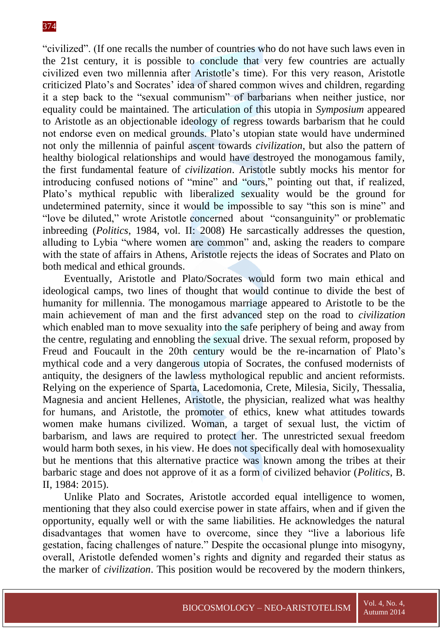"civilized". (If one recalls the number of countries who do not have such laws even in the 21st century, it is possible to conclude that very few countries are actually civilized even two millennia after Aristotle's time). For this very reason, Aristotle criticized Plato's and Socrates' idea of shared common wives and children, regarding it a step back to the "sexual communism" of barbarians when neither justice, nor equality could be maintained. The articulation of this utopia in *Symposium* appeared to Aristotle as an objectionable ideology of regress towards barbarism that he could not endorse even on medical grounds. Plato's utopian state would have undermined not only the millennia of painful ascent towards *civilization*, but also the pattern of healthy biological relationships and would have destroyed the monogamous family, the first fundamental feature of *civilization*. Aristotle subtly mocks his mentor for introducing confused notions of "mine" and "ours," pointing out that, if realized, Plato's mythical republic with liberalized sexuality would be the ground for undetermined paternity, since it would be impossible to say "this son is mine" and "love be diluted," wrote Aristotle concerned about "consanguinity" or problematic inbreeding (*Politics*, 1984, vol. II: 2008) He sarcastically addresses the question, alluding to Lybia "where women are common" and, asking the readers to compare with the state of affairs in Athens, Aristotle rejects the ideas of Socrates and Plato on both medical and ethical grounds.

Eventually, Aristotle and Plato/Socrates would form two main ethical and ideological camps, two lines of thought that would continue to divide the best of humanity for millennia. The monogamous marriage appeared to Aristotle to be the main achievement of man and the first advanced step on the road to *civilization* which enabled man to move sexuality into the safe periphery of being and away from the centre, regulating and ennobling the sexual drive. The sexual reform, proposed by Freud and Foucault in the 20th century would be the re-incarnation of Plato's mythical code and a very dangerous utopia of Socrates, the confused modernists of antiquity, the designers of the lawless mythological republic and ancient reformists. Relying on the experience of Sparta, Lacedomonia, Crete, Milesia, Sicily, Thessalia, Magnesia and ancient Hellenes, Aristotle, the physician, realized what was healthy for humans, and Aristotle, the promoter of ethics, knew what attitudes towards women make humans civilized. Woman, a target of sexual lust, the victim of barbarism, and laws are required to protect her. The unrestricted sexual freedom would harm both sexes, in his view. He does not specifically deal with homosexuality but he mentions that this alternative practice was known among the tribes at their barbaric stage and does not approve of it as a form of civilized behavior (*Politics*, B. II, 1984: 2015).

Unlike Plato and Socrates, Aristotle accorded equal intelligence to women, mentioning that they also could exercise power in state affairs, when and if given the opportunity, equally well or with the same liabilities. He acknowledges the natural disadvantages that women have to overcome, since they "live a laborious life gestation, facing challenges of nature." Despite the occasional plunge into misogyny, overall, Aristotle defended women's rights and dignity and regarded their status as the marker of *civilization*. This position would be recovered by the modern thinkers,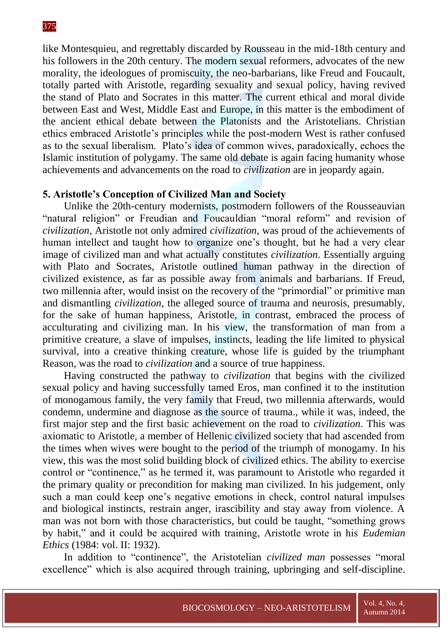like Montesquieu, and regrettably discarded by Rousseau in the mid-18th century and his followers in the 20th century. The modern sexual reformers, advocates of the new morality, the ideologues of promiscuity, the neo-barbarians, like Freud and Foucault, totally parted with Aristotle, regarding sexuality and sexual policy, having revived the stand of Plato and Socrates in this matter. The current ethical and moral divide between East and West, Middle East and Europe, in this matter is the embodiment of the ancient ethical debate between the Platonists and the Aristotelians. Christian ethics embraced Aristotle's principles while the post-modern West is rather confused as to the sexual liberalism. Plato's idea of common wives, paradoxically, echoes the Islamic institution of polygamy. The same old debate is again facing humanity whose achievements and advancements on the road to *civilization* are in jeopardy again.

## **5. Aristotle's Conception of Civilized Man and Society**

Unlike the 20th-century modernists, postmodern followers of the Rousseauvian "natural religion" or Freudian and Foucauldian "moral reform" and revision of *civilization*, Aristotle not only admired *civilization*, was proud of the achievements of human intellect and taught how to organize one's thought, but he had a very clear image of civilized man and what actually constitutes *civilization*. Essentially arguing with Plato and Socrates, Aristotle outlined human pathway in the direction of civilized existence, as far as possible away from animals and barbarians. If Freud, two millennia after, would insist on the recovery of the "primordial" or primitive man and dismantling *civilization*, the alleged source of trauma and neurosis, presumably, for the sake of human happiness, Aristotle, in contrast, embraced the process of acculturating and civilizing man. In his view, the transformation of man from a primitive creature, a slave of impulses, instincts, leading the life limited to physical survival, into a creative thinking creature, whose life is guided by the triumphant Reason, was the road to *civilization* and a source of true happiness.

Having constructed the pathway to *civilization* that begins with the civilized sexual policy and having successfully tamed Eros, man confined it to the institution of monogamous family, the very family that Freud, two millennia afterwards, would condemn, undermine and diagnose as the source of trauma., while it was, indeed, the first major step and the first basic achievement on the road to *civilization*. This was axiomatic to Aristotle, a member of Hellenic civilized society that had ascended from the times when wives were bought to the period of the triumph of monogamy. In his view, this was the most solid building block of civilized ethics. The ability to exercise control or "continence," as he termed it, was paramount to Aristotle who regarded it the primary quality or precondition for making man civilized. In his judgement, only such a man could keep one's negative emotions in check, control natural impulses and biological instincts, restrain anger, irascibility and stay away from violence. A man was not born with those characteristics, but could be taught, "something grows by habit," and it could be acquired with training, Aristotle wrote in his *Eudemian Ethics* (1984: vol. II: 1932).

In addition to "continence", the Aristotelian *civilized man* possesses "moral excellence" which is also acquired through training, upbringing and self-discipline.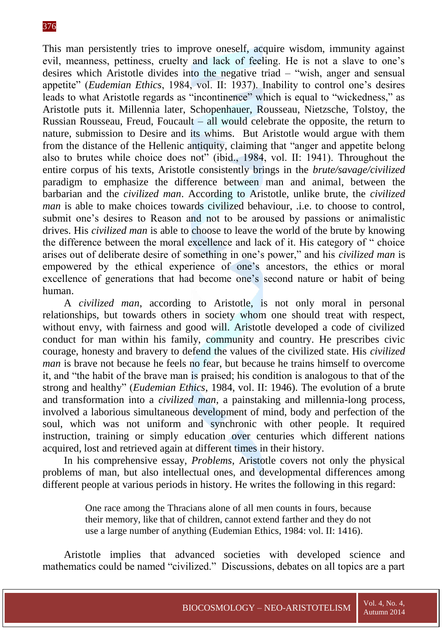This man persistently tries to improve oneself, acquire wisdom, immunity against evil, meanness, pettiness, cruelty and lack of feeling. He is not a slave to one's desires which Aristotle divides into the negative triad – "wish, anger and sensual appetite" (*Eudemian Ethics*, 1984, vol. II: 1937). Inability to control one's desires leads to what Aristotle regards as "incontinence" which is equal to "wickedness," as Aristotle puts it. Millennia later, Schopenhauer, Rousseau, Nietzsche, Tolstoy, the Russian Rousseau, Freud, Foucault – all would celebrate the opposite, the return to nature, submission to Desire and its whims. But Aristotle would argue with them from the distance of the Hellenic antiquity, claiming that "anger and appetite belong also to brutes while choice does not" (ibid., 1984, vol. II: 1941). Throughout the entire corpus of his texts, Aristotle consistently brings in the *brute/savage/civilized* paradigm to emphasize the difference between man and animal, between the barbarian and the *civilized man*. According to Aristotle, unlike brute, the *civilized man* is able to make choices towards civilized behaviour, *i.e.* to choose to control, submit one's desires to Reason and not to be aroused by passions or animalistic drives. His *civilized man* is able to choose to leave the world of the brute by knowing the difference between the moral excellence and lack of it. His category of " choice arises out of deliberate desire of something in one's power," and his *civilized man* is empowered by the ethical experience of one's ancestors, the ethics or moral excellence of generations that had become one's second nature or habit of being human.

A *civilized man*, according to Aristotle, is not only moral in personal relationships, but towards others in society whom one should treat with respect, without envy, with fairness and good will. Aristotle developed a code of civilized conduct for man within his family, community and country. He prescribes civic courage, honesty and bravery to defend the values of the civilized state. His *civilized man* is brave not because he feels no fear, but because he trains himself to overcome it, and "the habit of the brave man is praised; his condition is analogous to that of the strong and healthy" (*Eudemian Ethics*, 1984, vol. II: 1946). The evolution of a brute and transformation into a *civilized man*, a painstaking and millennia-long process, involved a laborious simultaneous development of mind, body and perfection of the soul, which was not uniform and synchronic with other people. It required instruction, training or simply education over centuries which different nations acquired, lost and retrieved again at different times in their history.

In his comprehensive essay, *Problems*, Aristotle covers not only the physical problems of man, but also intellectual ones, and developmental differences among different people at various periods in history. He writes the following in this regard:

> One race among the Thracians alone of all men counts in fours, because their memory, like that of children, cannot extend farther and they do not use a large number of anything (Eudemian Ethics, 1984: vol. II: 1416).

Aristotle implies that advanced societies with developed science and mathematics could be named "civilized." Discussions, debates on all topics are a part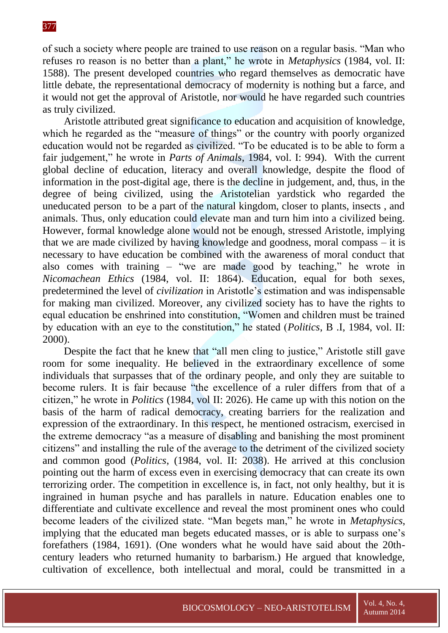of such a society where people are trained to use reason on a regular basis. "Man who refuses ro reason is no better than a plant," he wrote in *Metaphysics* (1984, vol. II: 1588). The present developed countries who regard themselves as democratic have little debate, the representational democracy of modernity is nothing but a farce, and it would not get the approval of Aristotle, nor would he have regarded such countries as truly civilized.

Aristotle attributed great significance to education and acquisition of knowledge, which he regarded as the "measure of things" or the country with poorly organized education would not be regarded as civilized. "To be educated is to be able to form a fair judgement," he wrote in *Parts of Animals*, 1984, vol. I: 994). With the current global decline of education, literacy and overall knowledge, despite the flood of information in the post-digital age, there is the decline in judgement, and, thus, in the degree of being civilized, using the Aristotelian yardstick who regarded the uneducated person to be a part of the natural kingdom, closer to plants, insects , and animals. Thus, only education could elevate man and turn him into a civilized being. However, formal knowledge alone would not be enough, stressed Aristotle, implying that we are made civilized by having knowledge and goodness, moral compass – it is necessary to have education be combined with the awareness of moral conduct that also comes with training – "we are made good by teaching," he wrote in *Nicomachean Ethics* (1984, vol. II: 1864). Education, equal for both sexes, predetermined the level of *civilization* in Aristotle's estimation and was indispensable for making man civilized. Moreover, any civilized society has to have the rights to equal education be enshrined into constitution, "Women and children must be trained by education with an eye to the constitution," he stated (*Politics*, B .I, 1984, vol. II: 2000).

Despite the fact that he knew that "all men cling to justice," Aristotle still gave room for some inequality. He believed in the extraordinary excellence of some individuals that surpasses that of the ordinary people, and only they are suitable to become rulers. It is fair because "the excellence of a ruler differs from that of a citizen," he wrote in *Politics* (1984, vol II: 2026). He came up with this notion on the basis of the harm of radical democracy, creating barriers for the realization and expression of the extraordinary. In this respect, he mentioned ostracism, exercised in the extreme democracy "as a measure of disabling and banishing the most prominent citizens" and installing the rule of the average to the detriment of the civilized society and common good (*Politics*, (1984, vol. II: 2038). He arrived at this conclusion pointing out the harm of excess even in exercising democracy that can create its own terrorizing order. The competition in excellence is, in fact, not only healthy, but it is ingrained in human psyche and has parallels in nature. Education enables one to differentiate and cultivate excellence and reveal the most prominent ones who could become leaders of the civilized state. "Man begets man," he wrote in *Metaphysics*, implying that the educated man begets educated masses, or is able to surpass one's forefathers (1984, 1691). (One wonders what he would have said about the 20thcentury leaders who returned humanity to barbarism.) He argued that knowledge, cultivation of excellence, both intellectual and moral, could be transmitted in a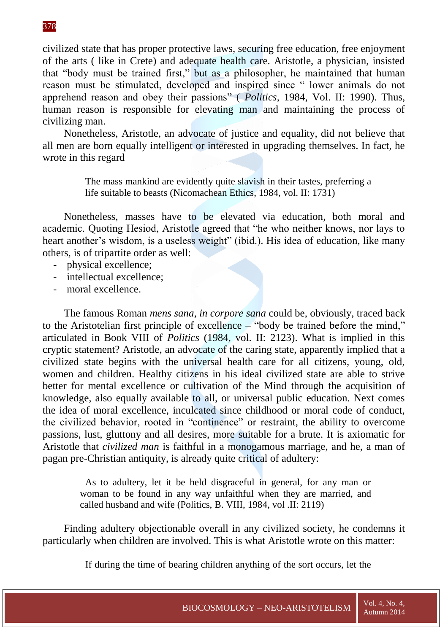civilized state that has proper protective laws, securing free education, free enjoyment of the arts ( like in Crete) and adequate health care. Aristotle, a physician, insisted that "body must be trained first," but as a philosopher, he maintained that human reason must be stimulated, developed and inspired since " lower animals do not apprehend reason and obey their passions" ( *Politics*, 1984, Vol. II: 1990). Thus, human reason is responsible for elevating man and maintaining the process of civilizing man.

Nonetheless, Aristotle, an advocate of justice and equality, did not believe that all men are born equally intelligent or interested in upgrading themselves. In fact, he wrote in this regard

> The mass mankind are evidently quite slavish in their tastes, preferring a life suitable to beasts (Nicomachean Ethics, 1984, vol. II: 1731)

Nonetheless, masses have to be elevated via education, both moral and academic. Quoting Hesiod, Aristotle agreed that "he who neither knows, nor lays to heart another's wisdom, is a useless weight" (ibid.). His idea of education, like many others, is of tripartite order as well:

- physical excellence;
- intellectual excellence;
- moral excellence.

The famous Roman *mens sana, in corpore sana* could be, obviously, traced back to the Aristotelian first principle of excellence – "body be trained before the mind," articulated in Book VIII of *Politics* (1984, vol. II: 2123). What is implied in this cryptic statement? Aristotle, an advocate of the caring state, apparently implied that a civilized state begins with the universal health care for all citizens, young, old, women and children. Healthy citizens in his ideal civilized state are able to strive better for mental excellence or cultivation of the Mind through the acquisition of knowledge, also equally available to all, or universal public education. Next comes the idea of moral excellence, inculcated since childhood or moral code of conduct, the civilized behavior, rooted in "continence" or restraint, the ability to overcome passions, lust, gluttony and all desires, more suitable for a brute. It is axiomatic for Aristotle that *civilized man* is faithful in a monogamous marriage, and he, a man of pagan pre-Christian antiquity, is already quite critical of adultery:

> As to adultery, let it be held disgraceful in general, for any man or woman to be found in any way unfaithful when they are married, and called husband and wife (Politics, B. VIII, 1984, vol .II: 2119)

Finding adultery objectionable overall in any civilized society, he condemns it particularly when children are involved. This is what Aristotle wrote on this matter:

If during the time of bearing children anything of the sort occurs, let the

378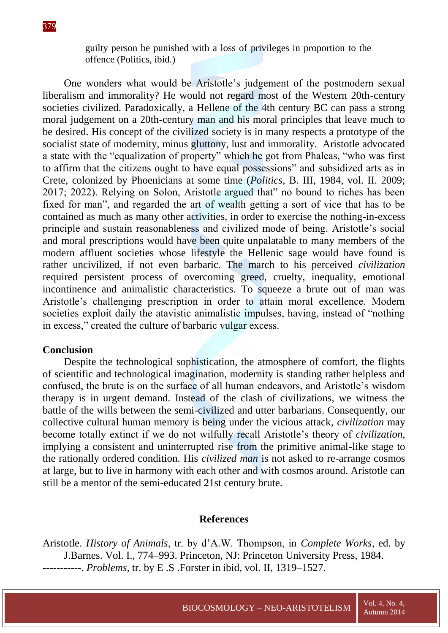guilty person be punished with a loss of privileges in proportion to the offence (Politics, ibid.)

One wonders what would be Aristotle's judgement of the postmodern sexual liberalism and immorality? He would not regard most of the Western 20th-century societies civilized. Paradoxically, a Hellene of the 4th century BC can pass a strong moral judgement on a 20th-century man and his moral principles that leave much to be desired. His concept of the civilized society is in many respects a prototype of the socialist state of modernity, minus gluttony, lust and immorality. Aristotle advocated a state with the "equalization of property" which he got from Phaleas, "who was first to affirm that the citizens ought to have equal possessions" and subsidized arts as in Crete, colonized by Phoenicians at some time (*Politics*, B. III, 1984, vol. II. 2009; 2017; 2022). Relying on Solon, Aristotle argued that" no bound to riches has been fixed for man", and regarded the art of wealth getting a sort of vice that has to be contained as much as many other activities, in order to exercise the nothing-in-excess principle and sustain reasonableness and civilized mode of being. Aristotle's social and moral prescriptions would have been quite unpalatable to many members of the modern affluent societies whose lifestyle the Hellenic sage would have found is rather uncivilized, if not even barbaric. The march to his perceived *civilization* required persistent process of overcoming greed, cruelty, inequality, emotional incontinence and animalistic characteristics. To squeeze a brute out of man was Aristotle's challenging prescription in order to attain moral excellence. Modern societies exploit daily the atavistic animalistic impulses, having, instead of "nothing in excess," created the culture of barbaric vulgar excess.

#### **Conclusion**

Despite the technological sophistication, the atmosphere of comfort, the flights of scientific and technological imagination, modernity is standing rather helpless and confused, the brute is on the surface of all human endeavors, and Aristotle's wisdom therapy is in urgent demand. Instead of the clash of civilizations, we witness the battle of the wills between the semi-civilized and utter barbarians. Consequently, our collective cultural human memory is being under the vicious attack, *civilization* may become totally extinct if we do not wilfully recall Aristotle's theory of *civilization*, implying a consistent and uninterrupted rise from the primitive animal-like stage to the rationally ordered condition. His *civilized man* is not asked to re-arrange cosmos at large, but to live in harmony with each other and with cosmos around. Aristotle can still be a mentor of the semi-educated 21st century brute.

#### **References**

Aristotle. *History of Animals*, tr. by d'A.W. Thompson, in *Complete Works*, ed. by J.Barnes. Vol. I., 774–993. Princeton, NJ: Princeton University Press, 1984. -----------. *Problems*, tr. by E .S .Forster in ibid, vol. II, 1319–1527.